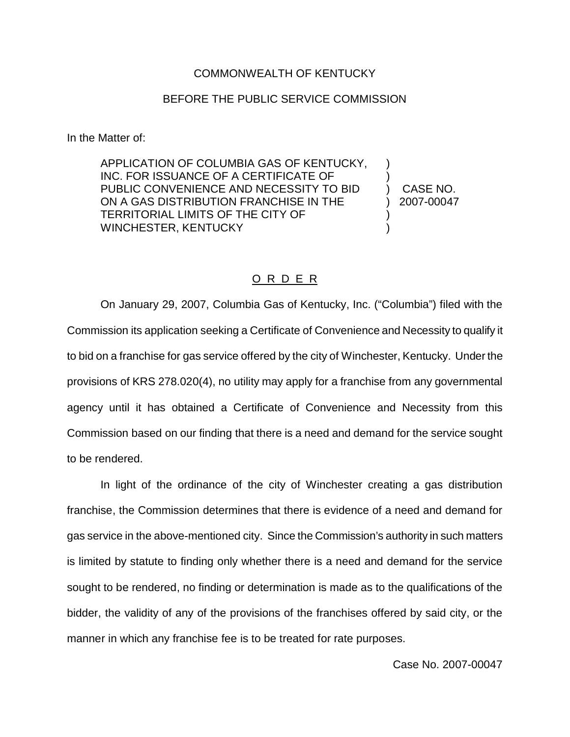## COMMONWEALTH OF KENTUCKY

## BEFORE THE PUBLIC SERVICE COMMISSION

In the Matter of:

APPLICATION OF COLUMBIA GAS OF KENTUCKY, INC. FOR ISSUANCE OF A CERTIFICATE OF PUBLIC CONVENIENCE AND NECESSITY TO BID ON A GAS DISTRIBUTION FRANCHISE IN THE TERRITORIAL LIMITS OF THE CITY OF WINCHESTER, KENTUCKY

) CASE NO. ) 2007-00047

) )

) )

## O R D E R

On January 29, 2007, Columbia Gas of Kentucky, Inc. ("Columbia") filed with the Commission its application seeking a Certificate of Convenience and Necessity to qualify it to bid on a franchise for gas service offered by the city of Winchester, Kentucky. Under the provisions of KRS 278.020(4), no utility may apply for a franchise from any governmental agency until it has obtained a Certificate of Convenience and Necessity from this Commission based on our finding that there is a need and demand for the service sought to be rendered.

In light of the ordinance of the city of Winchester creating a gas distribution franchise, the Commission determines that there is evidence of a need and demand for gas service in the above-mentioned city. Since the Commission's authority in such matters is limited by statute to finding only whether there is a need and demand for the service sought to be rendered, no finding or determination is made as to the qualifications of the bidder, the validity of any of the provisions of the franchises offered by said city, or the manner in which any franchise fee is to be treated for rate purposes.

Case No. 2007-00047